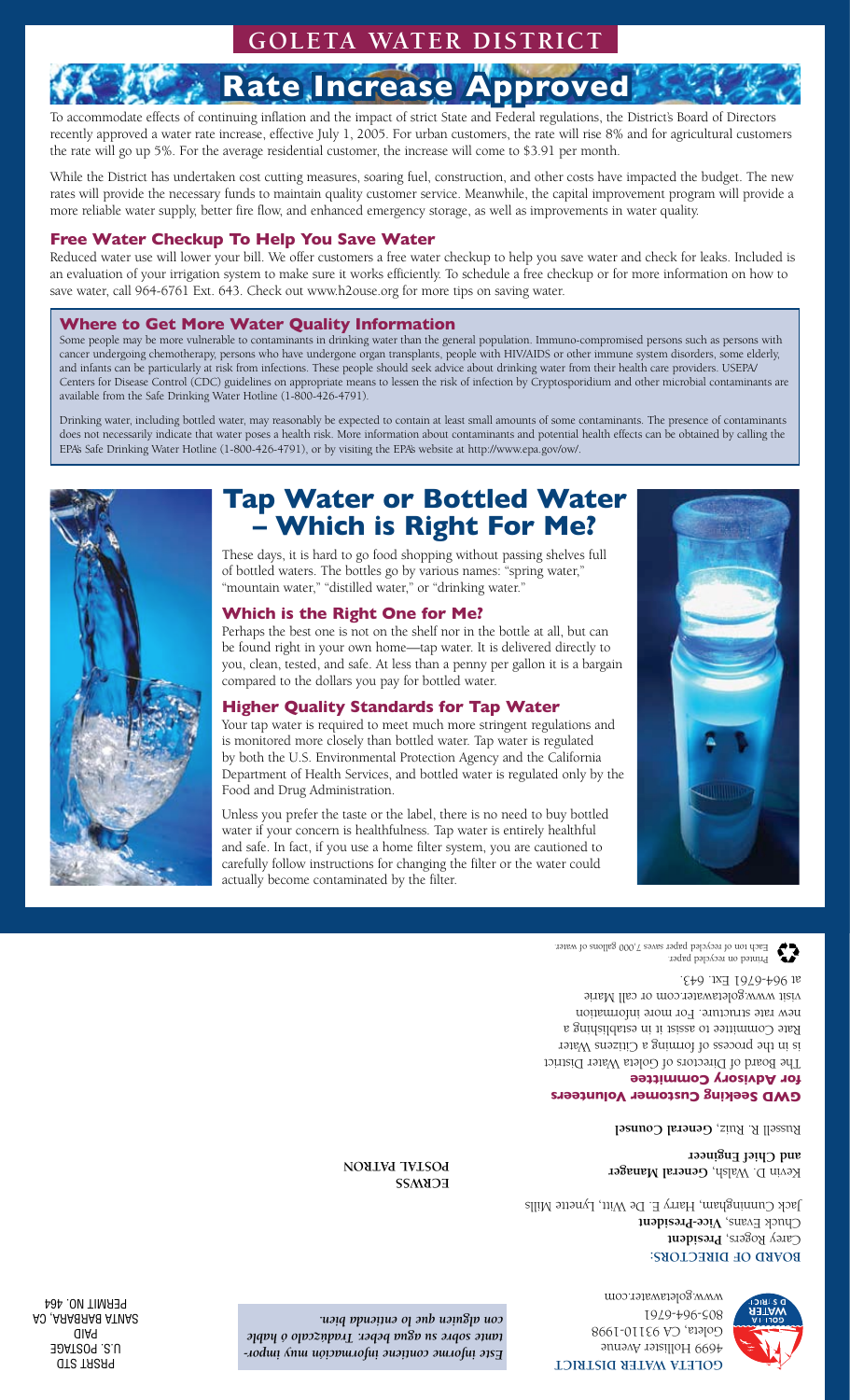### **Goleta Water District**

# **Rate Increase**

To accommodate effects of continuing inflation and the impact of strict State and Federal regulations, the District's Board of Directors recently approved a water rate increase, effective July 1, 2005. For urban customers, the rate will rise 8% and for agricultural customers the rate will go up 5%. For the average residential customer, the increase will come to \$3.91 per month.

While the District has undertaken cost cutting measures, soaring fuel, construction, and other costs have impacted the budget. The new rates will provide the necessary funds to maintain quality customer service. Meanwhile, the capital improvement program will provide a more reliable water supply, better fire flow, and enhanced emergency storage, as well as improvements in water quality.

#### **Free Water Checkup To Help You Save Water**

Reduced water use will lower your bill. We offer customers a free water checkup to help you save water and check for leaks. Included is an evaluation of your irrigation system to make sure it works efficiently. To schedule a free checkup or for more information on how to save water, call 964-6761 Ext. 643. Check out www.h2ouse.org for more tips on saving water.

#### **Where to Get More Water Quality Information**

Some people may be more vulnerable to contaminants in drinking water than the general population. Immuno-compromised persons such as persons with cancer undergoing chemotherapy, persons who have undergone organ transplants, people with HIV/AIDS or other immune system disorders, some elderly, and infants can be particularly at risk from infections. These people should seek advice about drinking water from their health care providers. USEPA/ Centers for Disease Control (CDC) guidelines on appropriate means to lessen the risk of infection by Cryptosporidium and other microbial contaminants are available from the Safe Drinking Water Hotline (1-800-426-4791).

Drinking water, including bottled water, may reasonably be expected to contain at least small amounts of some contaminants. The presence of contaminants does not necessarily indicate that water poses a health risk. More information about contaminants and potential health effects can be obtained by calling the EPA's Safe Drinking Water Hotline (1-800-426-4791), or by visiting the EPA's website at http://www.epa.gov/ow/.

## **Tap Water or Bottled Water – Which is Right For Me?**

These days, it is hard to go food shopping without passing shelves full of bottled waters. The bottles go by various names: "spring water," "mountain water," "distilled water," or "drinking water."

#### **Which is the Right One for Me?**

Perhaps the best one is not on the shelf nor in the bottle at all, but can be found right in your own home—tap water. It is delivered directly to you, clean, tested, and safe. At less than a penny per gallon it is a bargain compared to the dollars you pay for bottled water.

#### **Higher Quality Standards for Tap Water**

Your tap water is required to meet much more stringent regulations and is monitored more closely than bottled water. Tap water is regulated by both the U.S. Environmental Protection Agency and the California Department of Health Services, and bottled water is regulated only by the Food and Drug Administration.

Unless you prefer the taste or the label, there is no need to buy bottled water if your concern is healthfulness. Tap water is entirely healthful and safe. In fact, if you use a home filter system, you are cautioned to carefully follow instructions for changing the filter or the water could actually become contaminated by the filter.

> Printed on recycled paper. Each ton of recycled paper saves 7,000 gallons of water.

**for Advisory Committee** The Board of Directors of Goleta Water District is in the process of forming a Citizens Water Rate Committee to assist it in establishing a new rate structure. For more information visit www.goletawater.com or call Marie at 964-6761 Ext. 643.

### **GWD Seeking Customer Volunteers**

**Russell R. Ruiz, General Counsel** 

Kevin D. Walsh, **General Manager ngineer E hief C and** 

**BOVKD OF DIRECTORS:** Carey Rogers, President Chuck Evans, Vi**ce-President** Jack Cunningham, Harry E. De $W$ itt, Lynette Mills

**ECRM22 NONLWA TVLSOA** 

www.goletawater.com

**ISTRICT D ATER W OLETA G** 4699 Hollister Avenue Goleta, CA 93110-1998 805-964-6761

*- Este informe contiene información muy impor tante sobre su agua beber. Tradúzcalo ó hable con alguien que lo entienda bien.*

PRSRT STD U.S. POSTAGE PAID SANTA BARBARA, CA PERMIT NO. 464





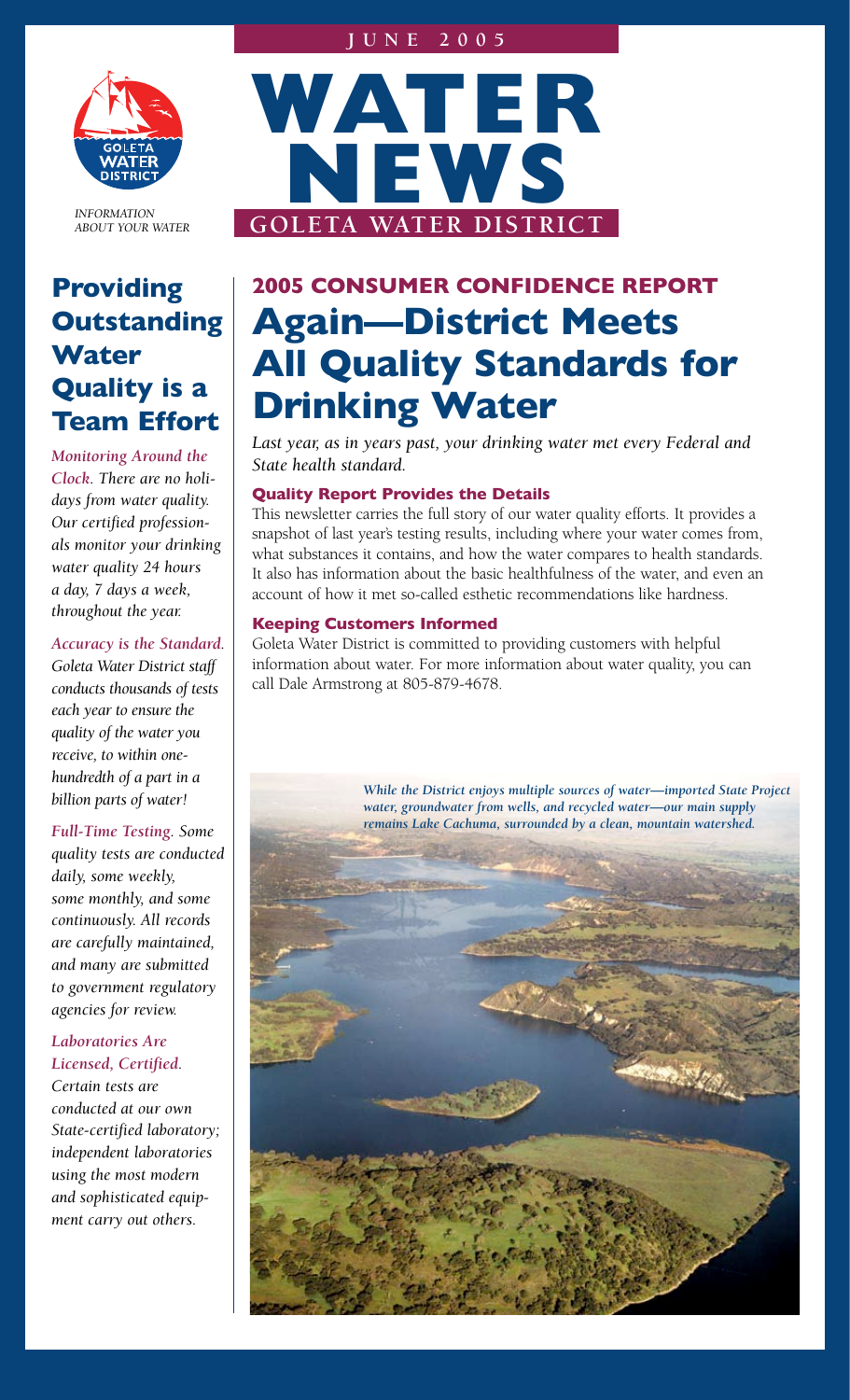#### **J u n e 2 0 0 5**



*INFORMATION ABOUT YOUR WATER*

## **Providing Outstanding Water Quality is a Team Effort**

*Monitoring Around the Clock. There are no holidays from water quality. Our certified professionals monitor your drinking water quality 24 hours a day, 7 days a week, throughout the year.* 

#### *Accuracy is the Standard.*

*Goleta Water District staff conducts thousands of tests each year to ensure the quality of the water you receive, to within onehundredth of a part in a billion parts of water!*

*Full-Time Testing. Some quality tests are conducted daily, some weekly, some monthly, and some continuously. All records are carefully maintained, and many are submitted to government regulatory agencies for review.*

#### *Laboratories Are Licensed, Certified.*

*Certain tests are conducted at our own State-certified laboratory; independent laboratories using the most modern and sophisticated equipment carry out others.*



# **2005 CONSUMER CONFIDENCE REPORT Again—District Meets All Quality Standards for Drinking Water**

*Last year, as in years past, your drinking water met every Federal and State health standard.* 

#### **Quality Report Provides the Details**

This newsletter carries the full story of our water quality efforts. It provides a snapshot of last year's testing results, including where your water comes from, what substances it contains, and how the water compares to health standards. It also has information about the basic healthfulness of the water, and even an account of how it met so-called esthetic recommendations like hardness.

#### **Keeping Customers Informed**

Goleta Water District is committed to providing customers with helpful information about water. For more information about water quality, you can call Dale Armstrong at 805-879-4678.

> *While the District enjoys multiple sources of water—imported State Project water, groundwater from wells, and recycled water—our main supply remains Lake Cachuma, surrounded by a clean, mountain watershed.*

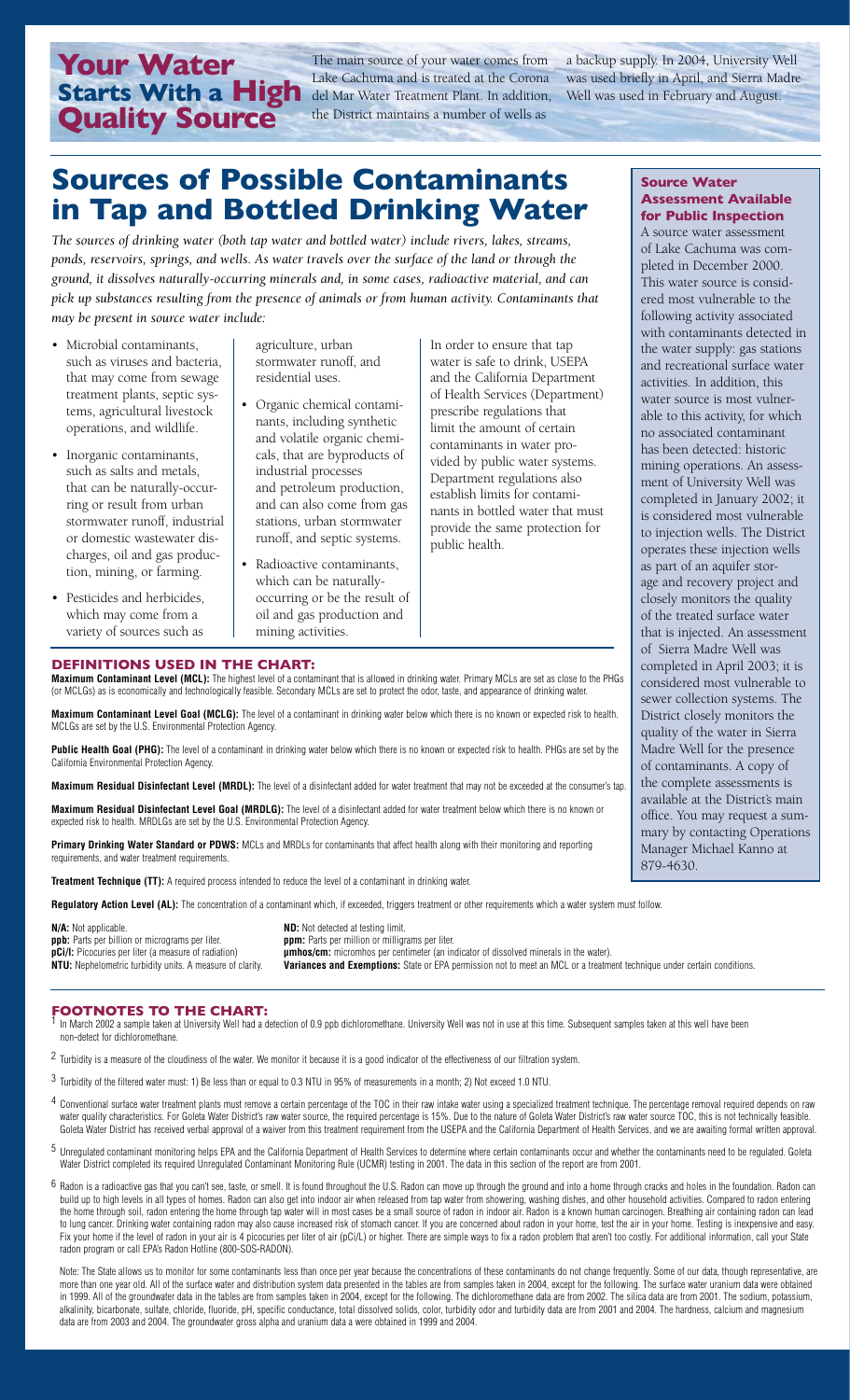**Your Water<br>Starts With a High Quality Source** 

The main source of your water comes from Lake Cachuma and is treated at the Corona del Mar Water Treatment Plant. In addition, Well was used in February and August.the District maintains a number of wells as

a backup supply. In 2004, University Well was used briefly in April, and Sierra Madre

## **Sources of Possible Contaminants in Tap and Bottled Drinking Water**

*The sources of drinking water (both tap water and bottled water) include rivers, lakes, streams, ponds, reservoirs, springs, and wells. As water travels over the surface of the land or through the ground, it dissolves naturally-occurring minerals and, in some cases, radioactive material, and can pick up substances resulting from the presence of animals or from human activity. Contaminants that may be present in source water include:*

- Microbial contaminants, such as viruses and bacteria, that may come from sewage treatment plants, septic systems, agricultural livestock operations, and wildlife.
- Inorganic contaminants, such as salts and metals, that can be naturally-occurring or result from urban stormwater runoff, industrial or domestic wastewater discharges, oil and gas production, mining, or farming.
- Pesticides and herbicides, which may come from a variety of sources such as

agriculture, urban stormwater runoff, and residential uses.

- Organic chemical contaminants, including synthetic and volatile organic chemicals, that are byproducts of industrial processes and petroleum production, and can also come from gas stations, urban stormwater runoff, and septic systems.
- Radioactive contaminants, which can be naturallyoccurring or be the result of oil and gas production and mining activities.

In order to ensure that tap water is safe to drink, USEPA and the California Department of Health Services (Department) prescribe regulations that limit the amount of certain contaminants in water provided by public water systems. Department regulations also establish limits for contaminants in bottled water that must provide the same protection for public health.

#### **Source Water Assessment Available for Public Inspection**

A source water assessment of Lake Cachuma was completed in December 2000. This water source is considered most vulnerable to the following activity associated with contaminants detected in the water supply: gas stations and recreational surface water activities. In addition, this water source is most vulnerable to this activity, for which no associated contaminant has been detected: historic mining operations. An assessment of University Well was completed in January 2002; it is considered most vulnerable to injection wells. The District operates these injection wells as part of an aquifer storage and recovery project and closely monitors the quality of the treated surface water that is injected. An assessment of Sierra Madre Well was completed in April 2003; it is considered most vulnerable to sewer collection systems. The District closely monitors the quality of the water in Sierra Madre Well for the presence of contaminants. A copy of the complete assessments is available at the District's main office. You may request a summary by contacting Operations Manager Michael Kanno at 879-4630.

**DEFINITIONS USED IN THE CHART:**

**Maximum Contaminant Level (MCL):** The highest level of a contaminant that is allowed in drinking water. Primary MCLs are set as close to the PHGs (or MCLGs) as is economically and technologically feasible. Secondary MCLs are set to protect the odor, taste, and appearance of drinking water.

**Maximum Contaminant Level Goal (MCLG):** The level of a contaminant in drinking water below which there is no known or expected risk to health. MCLGs are set by the U.S. Environmental Protection Agency.

**Public Health Goal (PHG):** The level of a contaminant in drinking water below which there is no known or expected risk to health. PHGs are set by the California Environmental Protection Agency.

**Maximum Residual Disinfectant Level (MRDL):** The level of a disinfectant added for water treatment that may not be exceeded at the consumer's tap.

**Maximum Residual Disinfectant Level Goal (MRDLG):** The level of a disinfectant added for water treatment below which there is no known or expected risk to health. MRDLGs are set by the U.S. Environmental Protection Agency.

**Primary Drinking Water Standard or PDWS:** MCLs and MRDLs for contaminants that affect health along with their monitoring and reporting rater treatment requirements

**Treatment Technique (TT):** A required process intended to reduce the level of a contaminant in drinking water.

**Regulatory Action Level (AL):** The concentration of a contaminant which, if exceeded, triggers treatment or other requirements which a water system must follow.

**ppb:** Parts per billion or micrograms per liter.<br>**pCi/I:** Picocuries per liter (a measure of radiation) **pCi/l:** Picocuries per liter (a measure of radiation) **primics/cm:** micromhos per centimeter (an indicator of dissolved minerals in the water).<br>NTU: Nephelometric turbidity units. A measure of clarity. Variances and Exemp

**N/A:** Not applicable.<br> **ppb:** Parts per billion or micrograms per liter.<br> **ppm:** Parts per million or milliorams per liter.

**Variances and Exemptions:** State or EPA permission not to meet an MCL or a treatment technique under certain conditions.

#### **FOOTNOTES TO THE CHART:**

- In March 2002 a sample taken at University Well had a detection of 0.9 ppb dichloromethane. University Well was not in use at this time. Subsequent samples taken at this well have been non-detect for dichloromethane.
- <sup>2</sup> Turbidity is a measure of the cloudiness of the water. We monitor it because it is a good indicator of the effectiveness of our filtration system.
- 3 Turbidity of the filtered water must: 1) Be less than or equal to 0.3 NTU in 95% of measurements in a month; 2) Not exceed 1.0 NTU.
- 4 Conventional surface water treatment plants must remove a certain percentage of the TOC in their raw intake water using a specialized treatment technique. The percentage removal required depends on raw water quality characteristics. For Goleta Water District's raw water source, the required percentage is 15%. Due to the nature of Goleta Water District's raw water source TOC, this is not technically feasible. Goleta Water District has received verbal approval of a waiver from this treatment requirement from the USEPA and the California Department of Health Services, and we are awaiting formal written approval.
- 5 Unregulated contaminant monitoring helps EPA and the California Department of Health Services to determine where certain contaminants occur and whether the contaminants need to be regulated. Goleta Water District completed its required Unregulated Contaminant Monitoring Rule (UCMR) testing in 2001. The data in this section of the report are from 2001.
- Radon is a radioactive gas that you can't see, taste, or smell. It is found throughout the U.S. Radon can move up through the ground and into a home through cracks and holes in the foundation. Radon can build up to high levels in all types of homes. Radon can also get into indoor air when released from tap water from showering, washing dishes, and other household activities. Compared to radon entering the home through soil, radon entering the home through tap water will in most cases be a small source of radon in indoor air. Radon is a known human carcinogen. Breathing air containing radon can lead to lung cancer. Drinking water containing radon may also cause increased risk of stomach cancer. If you are concerned about radon in your home, test the air in your home. Testing is inexpensive and easy. Fix your home if the level of radon in your air is 4 picocuries per liter of air (pCi/L) or higher. There are simple ways to fix a radon problem that aren't too costly. For additional information, call your State radon program or call EPA's Radon Hotline (800-SOS-RADON).

Note: The State allows us to monitor for some contaminants less than once per year because the concentrations of these contaminants do not change frequently. Some of our data, though representative, are more than one year old. All of the surface water and distribution system data presented in the tables are from samples taken in 2004, except for the following. The surface water uranium data were obtained in 1999. All of the groundwater data in the tables are from samples taken in 2004, except for the following. The dichloromethane data are from 2002. The silica data are from 2001. The sodium, potassium, alkalinity, bicarbonate, sulfate, chloride, fluoride, pH, specific conductance, total dissolved solids, color, turbidity odor and turbidity data are from 2001 and 2004. The hardness, calcium and magnesium data are from 2003 and 2004. The groundwater gross alpha and uranium data a were obtained in 1999 and 2004.